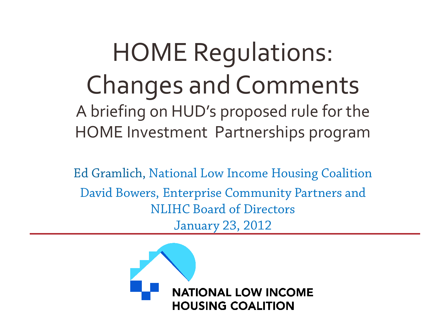### HOME Regulations: Changes and Comments A briefing on HUD's proposed rule for the HOME Investment Partnerships program

Ed Gramlich, National Low Income Housing Coalition David Bowers, Enterprise Community Partners and NLIHC Board of Directors January 23, 2012

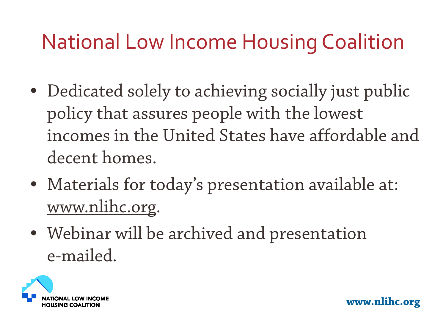### National Low Income Housing Coalition

- Dedicated solely to achieving socially just public policy that assures people with the lowest incomes in the United States have affordable and decent homes.
- Materials for today's presentation available at: [www.nlihc.org](http://www.nlihc.org/).
- Webinar will be archived and presentation e-mailed.

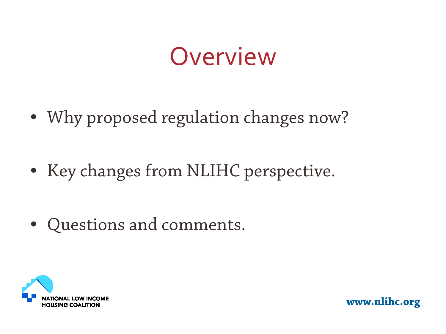## Overview

- Why proposed regulation changes now?
- Key changes from NLIHC perspective.
- Questions and comments.

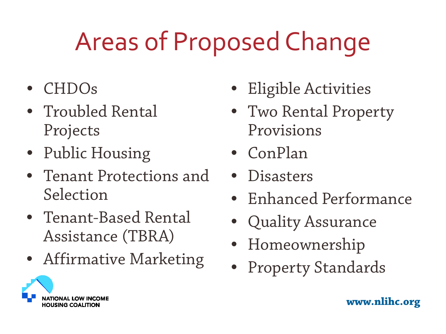# Areas of Proposed Change

- CHDOs
- Troubled Rental Projects
- Public Housing
- Tenant Protections and Selection
- Tenant-Based Rental Assistance (TBRA)
- Affirmative Marketing
- Eligible Activities
- Two Rental Property Provisions
- ConPlan
- Disasters
- Enhanced Performance
- Quality Assurance
- Homeownership
- Property Standards

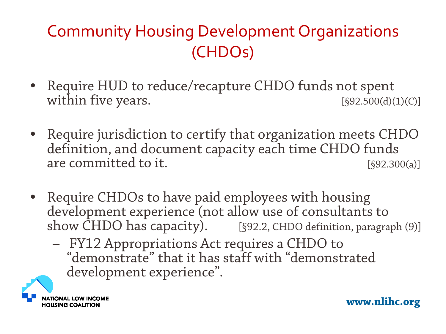#### Community Housing Development Organizations (CHDOs)

- Require HUD to reduce/recapture CHDO funds not spent within five years.  $[§92.500(d)(1)(C)]$
- Require jurisdiction to certify that organization meets CHDO definition, and document capacity each time CHDO funds are committed to it. [§92.300(a)]
- Require CHDOs to have paid employees with housing development experience (not allow use of consultants to show CHDO has capacity). [§92.2, CHDO definition, paragraph (9)]
	- FY12 Appropriations Act requires a CHDO to "demonstrate" that it has staff with "demonstrated development experience".

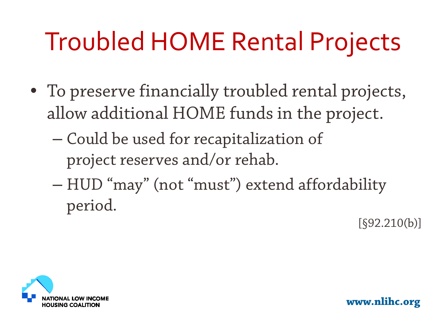# Troubled HOME Rental Projects

- To preserve financially troubled rental projects, allow additional HOME funds in the project.
	- Could be used for recapitalization of project reserves and/or rehab.
	- HUD "may" (not "must") extend affordability period. [§92.210(b)]

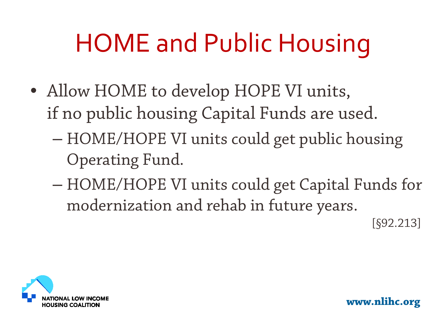# HOME and Public Housing

- Allow HOME to develop HOPE VI units, if no public housing Capital Funds are used.
	- HOME/HOPE VI units could get public housing Operating Fund.
	- HOME/HOPE VI units could get Capital Funds for modernization and rehab in future years.<br>[§92.213]

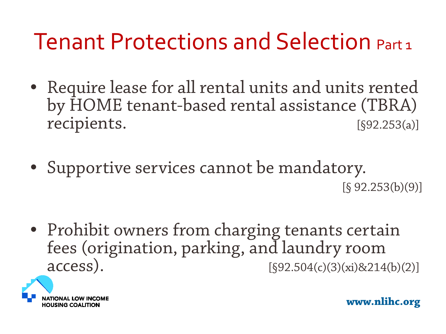### Tenant Protections and Selection Part 1

- Require lease for all rental units and units rented by HOME tenant-based rental assistance (TBRA) recipients. [§92.253(a)]
- Supportive services cannot be mandatory.  $[§ 92.253(b)(9)]$
- Prohibit owners from charging tenants certain fees (origination, parking, and laundry room<br>access).  $[$92.504(c)(3)(xi) \& 214$  $[§92.504(c)(3)(xi)8214(b)(2)]$

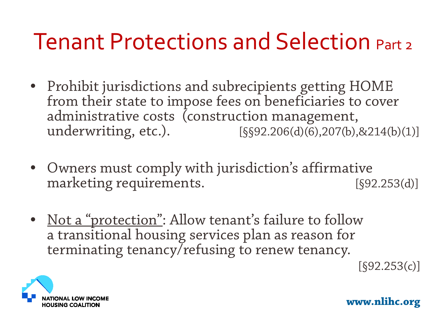### Tenant Protections and Selection Part 2

- Prohibit jurisdictions and subrecipients getting HOME from their state to impose fees on beneficiaries to cover administrative costs (construction management,<br>underwriting, etc.). [SS92.206(d)(6),207(b),  $[§§92.206(d)(6), 207(b), 8214(b)(1)]$
- Owners must comply with jurisdiction's affirmative marketing requirements. [§92.253(d)]
- Not a "protection": Allow tenant's failure to follow a transitional housing services plan as reason for terminating tenancy/refusing to renew tenancy.

 $[§92.253(c)]$ 

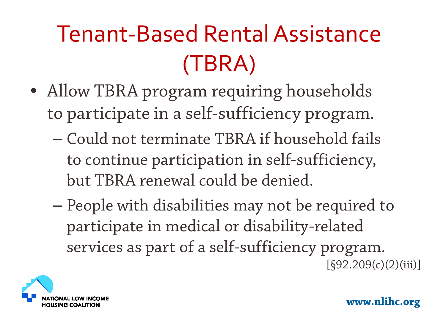## Tenant-Based Rental Assistance (TBRA)

- Allow TBRA program requiring households to participate in a self-sufficiency program.
	- Could not terminate TBRA if household fails to continue participation in self-sufficiency, but TBRA renewal could be denied.
	- People with disabilities may not be required to participate in medical or disability-related services as part of a self-sufficiency program.<br>[§92.209(c)(2)(iii)]

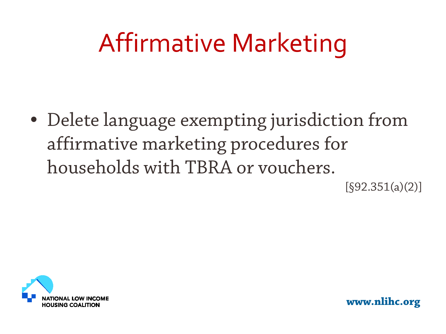# Affirmative Marketing

• Delete language exempting jurisdiction from affirmative marketing procedures for households with TBRA or vouchers.  $[§92.351(a)(2)]$ 

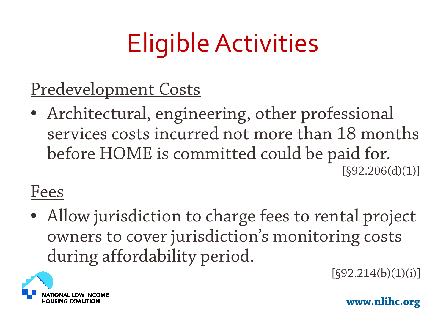# Eligible Activities

Predevelopment Costs

• Architectural, engineering, other professional services costs incurred not more than 18 months before HOME is committed could be paid for.<br>[§92.206(d)(1)]

#### Fees

• Allow jurisdiction to charge fees to rental project owners to cover jurisdiction's monitoring costs during affordability period.<br>
[§92.214(b)(1)(i)]

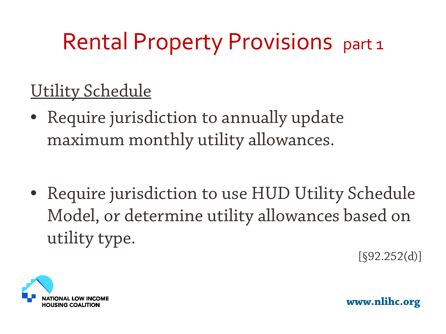### Rental Property Provisions part 1

#### Utility Schedule

- Require jurisdiction to annually update maximum monthly utility allowances.
- Require jurisdiction to use HUD Utility Schedule Model, or determine utility allowances based on utility type.

 $[§92.252(d)]$ 

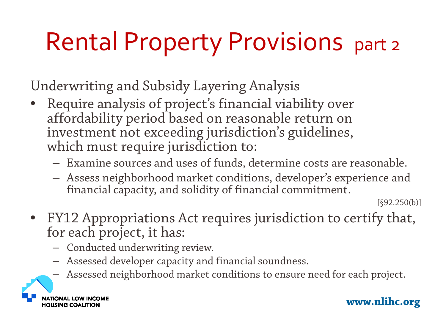# Rental Property Provisions part 2

Underwriting and Subsidy Layering Analysis

- Require analysis of project's financial viability over affordability period based on reasonable return on investment not exceeding jurisdiction's guidelines, which must require jurisdiction to:
	- Examine sources and uses of funds, determine costs are reasonable.
	- Assess neighborhood market conditions, developer's experience and financial capacity, and solidity of financial commitment. [§92.250(b)]

- FY12 Appropriations Act requires jurisdiction to certify that, for each project, it has:
	- Conducted underwriting review.
	- Assessed developer capacity and financial soundness.
	- Assessed neighborhood market conditions to ensure need for each project.

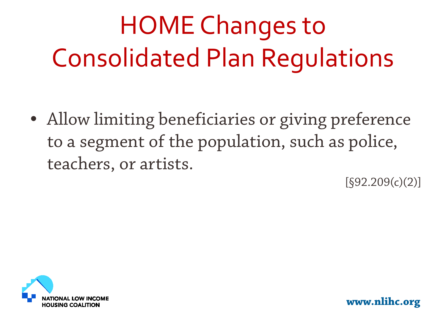# HOME Changes to Consolidated Plan Regulations

• Allow limiting beneficiaries or giving preference to a segment of the population, such as police, teachers, or artists.

 $[$ §92.209(c)(2)]

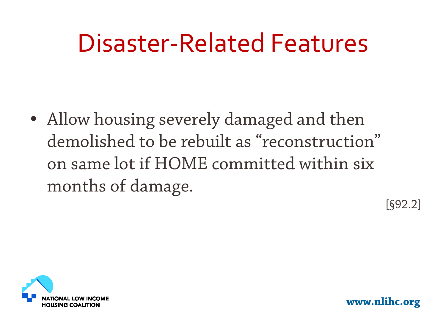## Disaster-Related Features

• Allow housing severely damaged and then demolished to be rebuilt as "reconstruction" on same lot if HOME committed within six months of damage.

 $[§92.2]$ 

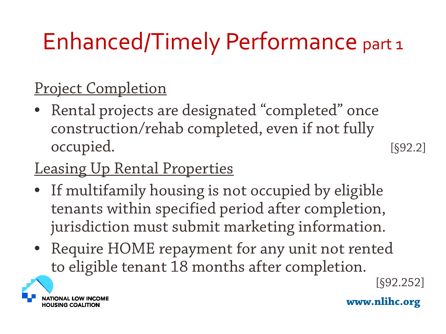## Enhanced/Timely Performance part 1

#### Project Completion

Rental projects are designated "completed" once construction/rehab completed, even if not fully occupied. [§92.2]

#### Leasing Up Rental Properties

- If multifamily housing is not occupied by eligible tenants within specified period after completion, jurisdiction must submit marketing information.
- Require HOME repayment for any unit not rented to eligible tenant 18 months after completion.<br>[§92.252]

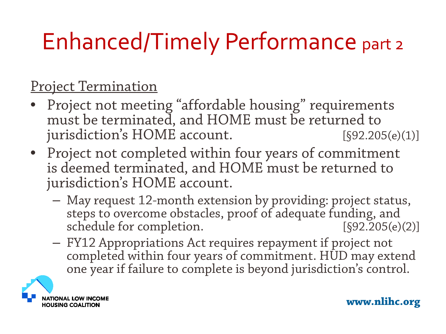## Enhanced/Timely Performance part 2

#### Project Termination

- Project not meeting "affordable housing" requirements must be terminated, and HOME must be returned to jurisdiction's HOME account. [§92.205(e)(1)]
- Project not completed within four years of commitment is deemed terminated, and HOME must be returned to jurisdiction's HOME account.
	- May request 12-month extension by providing: project status, steps to overcome obstacles, proof of adequate funding, and schedule for completion. [§92.205(e)(2)]
	- FY12 Appropriations Act requires repayment if project not completed within four years of commitment. HUD may extend one year if failure to complete is beyond jurisdiction's control.

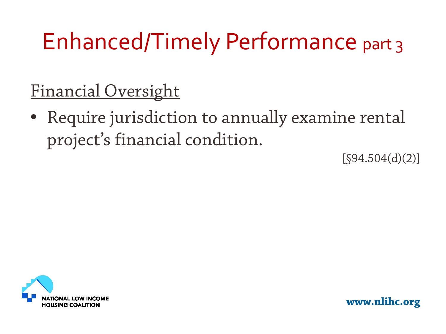## Enhanced/Timely Performance part 3

#### Financial Oversight

• Require jurisdiction to annually examine rental project's financial condition.

 $[§94.504(d)(2)]$ 

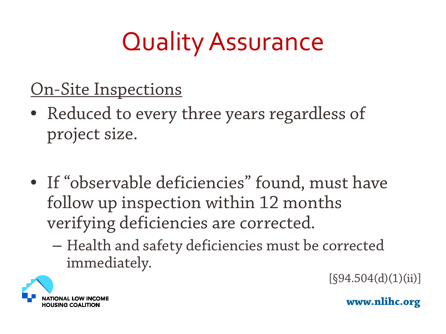# Quality Assurance

#### On-Site Inspections

- Reduced to every three years regardless of project size.
- If "observable deficiencies" found, must have follow up inspection within 12 months verifying deficiencies are corrected.
	- Health and safety deficiencies must be corrected  $immediately.$  [§94.504(d)(1)(ii)]

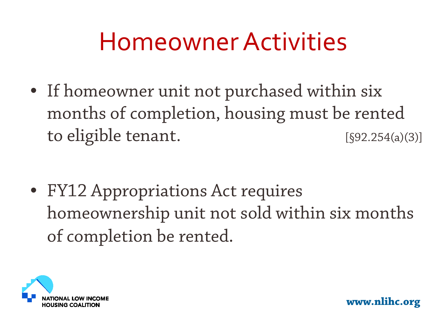## Homeowner Activities

• If homeowner unit not purchased within six months of completion, housing must be rented to eligible tenant. [§92.254(a)(3)]

• FY12 Appropriations Act requires homeownership unit not sold within six months of completion be rented.

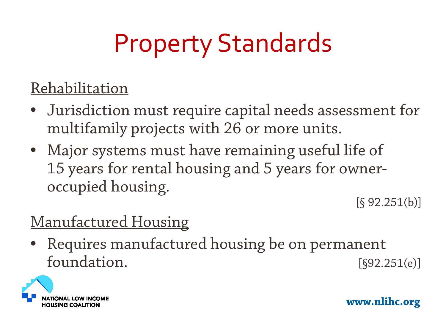# Property Standards

#### Rehabilitation

- Jurisdiction must require capital needs assessment for multifamily projects with 26 or more units.
- Major systems must have remaining useful life of 15 years for rental housing and 5 years for owneroccupied housing.<br>
[§ 92.251(b)]

#### Manufactured Housing

• Requires manufactured housing be on permanent foundation. [§92.251(e)]

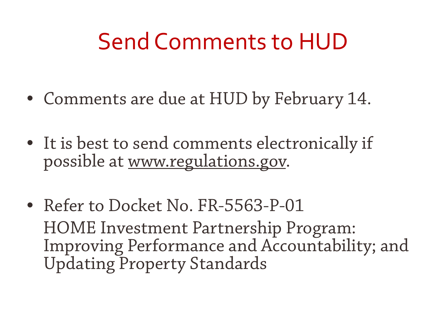### Send Comments to HUD

- Comments are due at HUD by February 14.
- It is best to send comments electronically if possible at [www.regulations.gov](http://www.regulations.gov/).
- Refer to Docket No. FR-5563-P-01 HOME Investment Partnership Program: Improving Performance and Accountability; and Updating Property Standards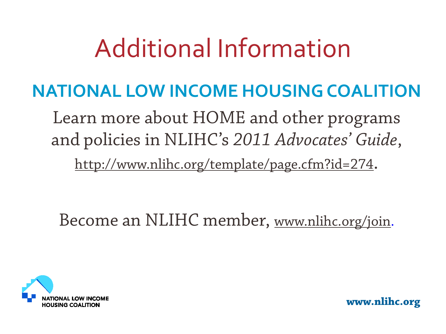## Additional Information

#### **NATIONAL LOW INCOME HOUSING COALITION**

Learn more about HOME and other programs and policies in NLIHC's *2011 Advocates' Guide*,

<http://www.nlihc.org/template/page.cfm?id=274>.

Become an NLIHC member, [www.nlihc.org/join.](http://www.nlihc.org/join)

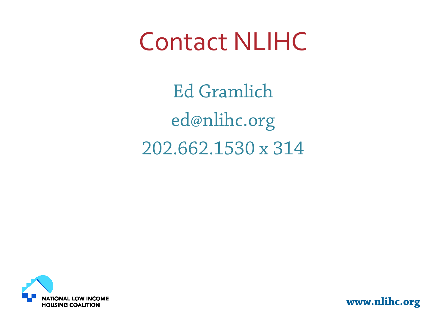## Contact NLIHC

Ed Gramlich ed@nlihc.org 202.662.1530 x 314